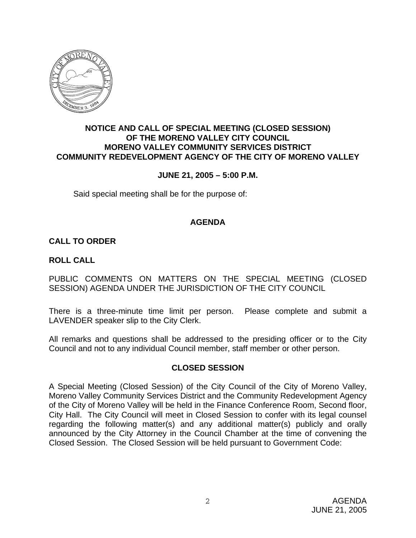

# **NOTICE AND CALL OF SPECIAL MEETING (CLOSED SESSION) OF THE MORENO VALLEY CITY COUNCIL MORENO VALLEY COMMUNITY SERVICES DISTRICT COMMUNITY REDEVELOPMENT AGENCY OF THE CITY OF MORENO VALLEY**

# **JUNE 21, 2005 – 5:00 P.M.**

Said special meeting shall be for the purpose of:

### **AGENDA**

# **CALL TO ORDER**

### **ROLL CALL**

PUBLIC COMMENTS ON MATTERS ON THE SPECIAL MEETING (CLOSED SESSION) AGENDA UNDER THE JURISDICTION OF THE CITY COUNCIL

There is a three-minute time limit per person. Please complete and submit a LAVENDER speaker slip to the City Clerk.

All remarks and questions shall be addressed to the presiding officer or to the City Council and not to any individual Council member, staff member or other person.

### **CLOSED SESSION**

A Special Meeting (Closed Session) of the City Council of the City of Moreno Valley, Moreno Valley Community Services District and the Community Redevelopment Agency of the City of Moreno Valley will be held in the Finance Conference Room, Second floor, City Hall. The City Council will meet in Closed Session to confer with its legal counsel regarding the following matter(s) and any additional matter(s) publicly and orally announced by the City Attorney in the Council Chamber at the time of convening the Closed Session. The Closed Session will be held pursuant to Government Code: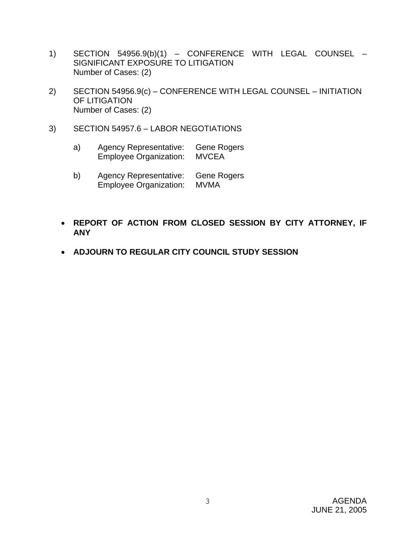- 1) SECTION 54956.9(b)(1) CONFERENCE WITH LEGAL COUNSEL SIGNIFICANT EXPOSURE TO LITIGATION Number of Cases: (2)
- 2) SECTION 54956.9(c) CONFERENCE WITH LEGAL COUNSEL INITIATION OF LITIGATION Number of Cases: (2)
- 3) SECTION 54957.6 LABOR NEGOTIATIONS
	- a) Agency Representative: Gene Rogers Employee Organization: MVCEA
	- b) Agency Representative: Gene Rogers Employee Organization: MVMA
	- **REPORT OF ACTION FROM CLOSED SESSION BY CITY ATTORNEY, IF ANY**
	- **ADJOURN TO REGULAR CITY COUNCIL STUDY SESSION**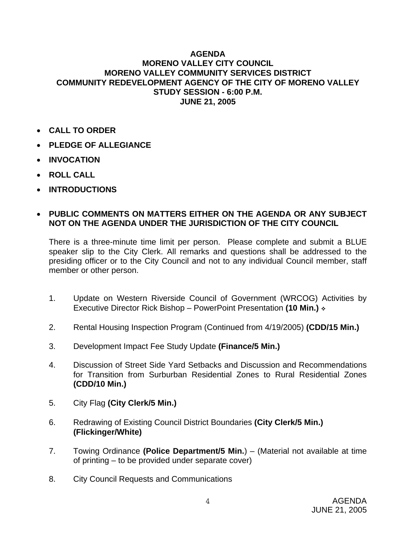### **AGENDA MORENO VALLEY CITY COUNCIL MORENO VALLEY COMMUNITY SERVICES DISTRICT COMMUNITY REDEVELOPMENT AGENCY OF THE CITY OF MORENO VALLEY STUDY SESSION - 6:00 P.M. JUNE 21, 2005**

- **CALL TO ORDER**
- **PLEDGE OF ALLEGIANCE**
- **INVOCATION**
- **ROLL CALL**
- **INTRODUCTIONS**

# • **PUBLIC COMMENTS ON MATTERS EITHER ON THE AGENDA OR ANY SUBJECT NOT ON THE AGENDA UNDER THE JURISDICTION OF THE CITY COUNCIL**

There is a three-minute time limit per person. Please complete and submit a BLUE speaker slip to the City Clerk. All remarks and questions shall be addressed to the presiding officer or to the City Council and not to any individual Council member, staff member or other person.

- 1. Update on Western Riverside Council of Government (WRCOG) Activities by Executive Director Rick Bishop – PowerPoint Presentation **(10 Min.)**
- 2. Rental Housing Inspection Program (Continued from 4/19/2005) **(CDD/15 Min.)**
- 3. Development Impact Fee Study Update **(Finance/5 Min.)**
- 4. Discussion of Street Side Yard Setbacks and Discussion and Recommendations for Transition from Surburban Residential Zones to Rural Residential Zones **(CDD/10 Min.)**
- 5. City Flag **(City Clerk/5 Min.)**
- 6. Redrawing of Existing Council District Boundaries **(City Clerk/5 Min.) (Flickinger/White)**
- 7. Towing Ordinance **(Police Department/5 Min.**) (Material not available at time of printing – to be provided under separate cover)
- 8. City Council Requests and Communications